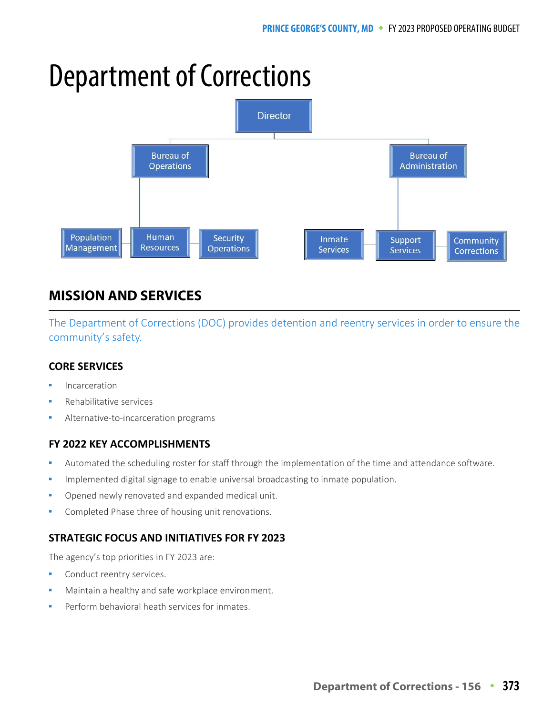# Department of Corrections



# **MISSION AND SERVICES**

The Department of Corrections (DOC) provides detention and reentry services in order to ensure the community's safety.

### **CORE SERVICES**

- Incarceration
- Rehabilitative services
- Alternative-to-incarceration programs

### **FY 2022 KEY ACCOMPLISHMENTS**

- Automated the scheduling roster for staff through the implementation of the time and attendance software.
- Implemented digital signage to enable universal broadcasting to inmate population.
- Opened newly renovated and expanded medical unit.
- Completed Phase three of housing unit renovations.

### **STRATEGIC FOCUS AND INITIATIVES FOR FY 2023**

The agency's top priorities in FY 2023 are:

- Conduct reentry services.
- Maintain a healthy and safe workplace environment.
- Perform behavioral heath services for inmates.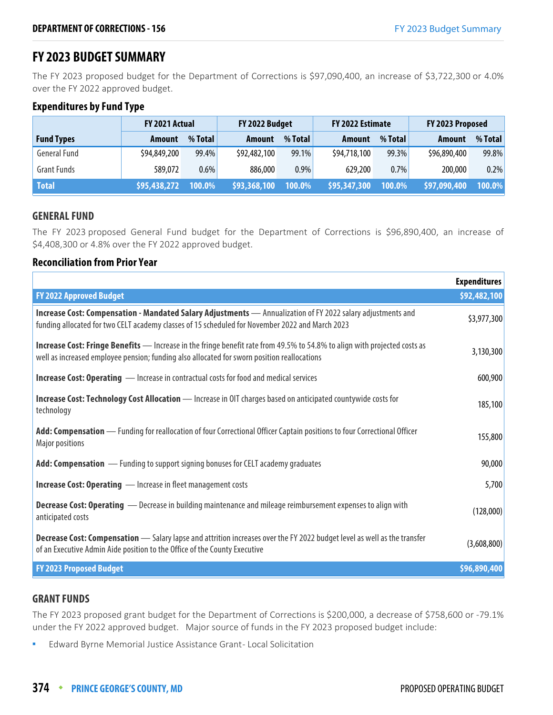# **FY 2023 BUDGET SUMMARY**

The FY 2023 proposed budget for the Department of Corrections is \$97,090,400, an increase of \$3,722,300 or 4.0% over the FY 2022 approved budget.

### **Expenditures by Fund Type**

|                     | FY 2021 Actual |         | FY 2022 Estimate<br>FY 2022 Budget |          | FY 2023 Proposed           |         |               |         |
|---------------------|----------------|---------|------------------------------------|----------|----------------------------|---------|---------------|---------|
| <b>Fund Types</b>   | <b>Amount</b>  | % Total | <b>Amount</b>                      | % Total  | Amount                     | % Total | <b>Amount</b> | % Total |
| <b>General Fund</b> | \$94,849,200   | 99.4%   | \$92,482,100                       | $99.1\%$ | \$94,718,100               | 99.3%   | \$96,890,400  | 99.8%   |
| <b>Grant Funds</b>  | 589,072        | $0.6\%$ | 886,000                            | 0.9%     | 629,200                    | 0.7%    | 200,000       | 0.2%    |
| <b>Total</b>        | \$95,438,272   | 100.0%  | \$93,368,100                       | 100.0%   | $\frac{1595,347,300}{100}$ | 100.0%  | \$97,090,400  | 100.0%  |

### **GENERAL FUND**

The FY 2023 proposed General Fund budget for the Department of Corrections is \$96,890,400, an increase of \$4,408,300 or 4.8% over the FY 2022 approved budget.

### **Reconciliation from Prior Year**

|                                                                                                                                                                                                                                 | <b>Expenditures</b> |
|---------------------------------------------------------------------------------------------------------------------------------------------------------------------------------------------------------------------------------|---------------------|
| <b>FY 2022 Approved Budget</b>                                                                                                                                                                                                  | \$92,482,100        |
| Increase Cost: Compensation - Mandated Salary Adjustments - Annualization of FY 2022 salary adjustments and<br>funding allocated for two CELT academy classes of 15 scheduled for November 2022 and March 2023                  | \$3,977,300         |
| <b>Increase Cost: Fringe Benefits</b> — Increase in the fringe benefit rate from 49.5% to 54.8% to align with projected costs as<br>well as increased employee pension; funding also allocated for sworn position reallocations | 3,130,300           |
| <b>Increase Cost: Operating</b> — Increase in contractual costs for food and medical services                                                                                                                                   | 600,900             |
| Increase Cost: Technology Cost Allocation - Increase in OIT charges based on anticipated countywide costs for<br>technology                                                                                                     | 185,100             |
| Add: Compensation — Funding for reallocation of four Correctional Officer Captain positions to four Correctional Officer<br><b>Major positions</b>                                                                              | 155,800             |
| Add: Compensation - Funding to support signing bonuses for CELT academy graduates                                                                                                                                               | 90,000              |
| <b>Increase Cost: Operating </b> — Increase in fleet management costs                                                                                                                                                           | 5,700               |
| <b>Decrease Cost: Operating</b> - Decrease in building maintenance and mileage reimbursement expenses to align with<br>anticipated costs                                                                                        | (128,000)           |
| Decrease Cost: Compensation - Salary lapse and attrition increases over the FY 2022 budget level as well as the transfer<br>of an Executive Admin Aide position to the Office of the County Executive                           | (3,608,800)         |
| <b>FY 2023 Proposed Budget</b>                                                                                                                                                                                                  | \$96,890,400        |

### **GRANT FUNDS**

The FY 2023 proposed grant budget for the Department of Corrections is \$200,000, a decrease of \$758,600 or -79.1% under the FY 2022 approved budget. Major source of funds in the FY 2023 proposed budget include:

**Edward Byrne Memorial Justice Assistance Grant-Local Solicitation**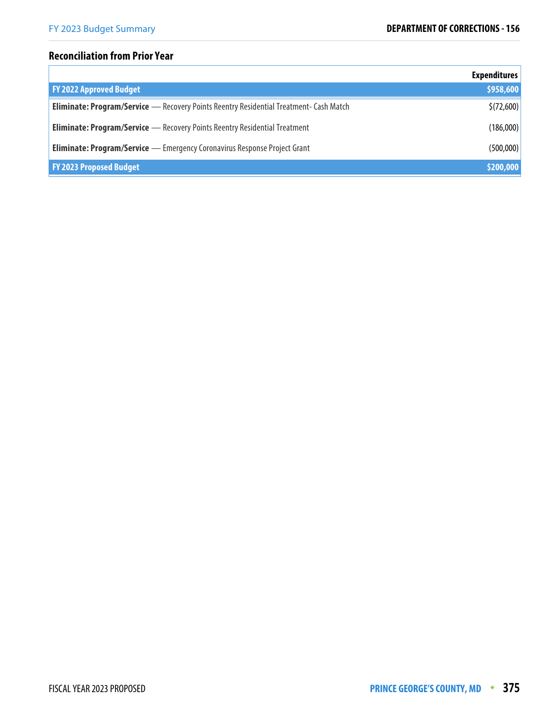### **Reconciliation from Prior Year**

|                                                                                               | <b>Expenditures</b> |
|-----------------------------------------------------------------------------------------------|---------------------|
| <b>FY 2022 Approved Budget</b>                                                                | \$958,600           |
| <b>Eliminate: Program/Service</b> - Recovery Points Reentry Residential Treatment- Cash Match | \$(72,600)          |
| <b>Eliminate: Program/Service</b> - Recovery Points Reentry Residential Treatment             | (186,000)           |
| <b>Eliminate: Program/Service</b> — Emergency Coronavirus Response Project Grant              | (500,000)           |
| <b>FY 2023 Proposed Budget</b>                                                                | \$200,000           |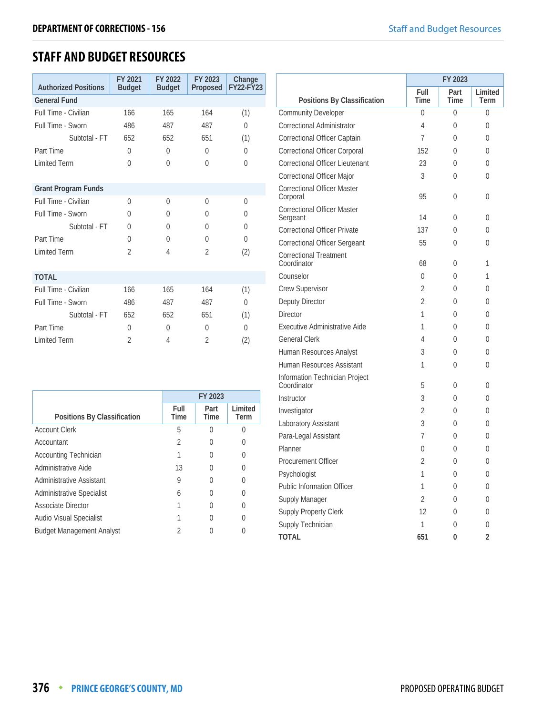# **STAFF AND BUDGET RESOURCES**

|                             | FY 2021        | FY 2022       | FY 2023        | Change           |
|-----------------------------|----------------|---------------|----------------|------------------|
| <b>Authorized Positions</b> | <b>Budget</b>  | <b>Budget</b> | Proposed       | <b>FY22-FY23</b> |
| <b>General Fund</b>         |                |               |                |                  |
| Full Time - Civilian        | 166            | 165           | 164            | (1)              |
| Full Time - Sworn           | 486            | 487           | 487            | 0                |
| Subtotal - FT               | 652            | 652           | 651            | (1)              |
| Part Time                   | $\Omega$       | $\Omega$      | $\Omega$       | $\theta$         |
| <b>Limited Term</b>         | $\Omega$       | $\Omega$      | $\Omega$       | $\theta$         |
|                             |                |               |                |                  |
| <b>Grant Program Funds</b>  |                |               |                |                  |
| Full Time - Civilian        | $\Omega$       | $\Omega$      | $\Omega$       | $\Omega$         |
| Full Time - Sworn           | 0              | $\Omega$      | $\Omega$       | $\Omega$         |
| Subtotal - FT               | 0              | $\Omega$      | 0              | $\theta$         |
| Part Time                   | $\Omega$       | $\Omega$      | $\Omega$       | $\theta$         |
| <b>Limited Term</b>         | $\overline{2}$ | 4             | $\overline{2}$ | (2)              |
|                             |                |               |                |                  |
| <b>TOTAL</b>                |                |               |                |                  |
| Full Time - Civilian        | 166            | 165           | 164            | (1)              |
| Full Time - Sworn           | 486            | 487           | 487            | 0                |
| Subtotal - FT               | 652            | 652           | 651            | (1)              |
| Part Time                   | $\Omega$       | $\Omega$      | $\Omega$       | $\Omega$         |
| <b>Limited Term</b>         | 2              | 4             | $\overline{2}$ | (2)              |

|                                  | FY 2023      |              |                 |
|----------------------------------|--------------|--------------|-----------------|
| Positions By Classification      | Full<br>Time | Part<br>Time | Limited<br>Term |
| <b>Account Clerk</b>             | 5            |              |                 |
| Accountant                       | 2            |              |                 |
| <b>Accounting Technician</b>     |              |              |                 |
| Administrative Aide              | 13           |              |                 |
| Administrative Assistant         | 9            |              |                 |
| <b>Administrative Specialist</b> | 6            |              |                 |
| <b>Associate Director</b>        |              |              |                 |
| Audio Visual Specialist          |              |              |                 |
| <b>Budget Management Analyst</b> | 2            |              |                 |

|                                                |                | FY 2023      |                 |
|------------------------------------------------|----------------|--------------|-----------------|
| Positions By Classification                    | Full<br>Time   | Part<br>Time | Limited<br>Term |
| <b>Community Developer</b>                     | 0              | 0            | 0               |
| Correctional Administrator                     | 4              | 0            | 0               |
| <b>Correctional Officer Captain</b>            | 7              | 0            | 0               |
| <b>Correctional Officer Corporal</b>           | 152            | 0            | 0               |
| <b>Correctional Officer Lieutenant</b>         | 23             | 0            | 0               |
| Correctional Officer Major                     | 3              | 0            | 0               |
| Correctional Officer Master<br>Corporal        | 95             | 0            | 0               |
| <b>Correctional Officer Master</b><br>Sergeant | 14             | 0            | 0               |
| <b>Correctional Officer Private</b>            | 137            | 0            | 0               |
| <b>Correctional Officer Sergeant</b>           | 55             | 0            | 0               |
| <b>Correctional Treatment</b><br>Coordinator   | 68             | 0            | 1               |
| Counselor                                      | 0              | 0            | 1               |
| Crew Supervisor                                | 2              | 0            | 0               |
| Deputy Director                                | 2              | 0            | 0               |
| <b>Director</b>                                | 1              | 0            | 0               |
| Executive Administrative Aide                  | 1              | 0            | 0               |
| <b>General Clerk</b>                           | 4              | 0            | 0               |
| Human Resources Analyst                        | 3              | 0            | 0               |
| Human Resources Assistant                      | 1              | 0            | 0               |
| Information Technician Project<br>Coordinator  | 5              | 0            | 0               |
| Instructor                                     | 3              | 0            | 0               |
| Investigator                                   | 2              | 0            | 0               |
| Laboratory Assistant                           | 3              | 0            | 0               |
| Para-Legal Assistant                           | 7              | 0            | 0               |
| Planner                                        | 0              | 0            | 0               |
| Procurement Officer                            | $\overline{2}$ | 0            | 0               |
| Psychologist                                   | Τ              | U            | U               |
| <b>Public Information Officer</b>              | 1              | $\mathbf 0$  | 0               |
| Supply Manager                                 | $\overline{2}$ | 0            | 0               |
| Supply Property Clerk                          | 12             | 0            | 0               |
| Supply Technician                              | $\mathbf 1$    | $\mathbf 0$  | 0               |
| <b>TOTAL</b>                                   | 651            | 0            | 2               |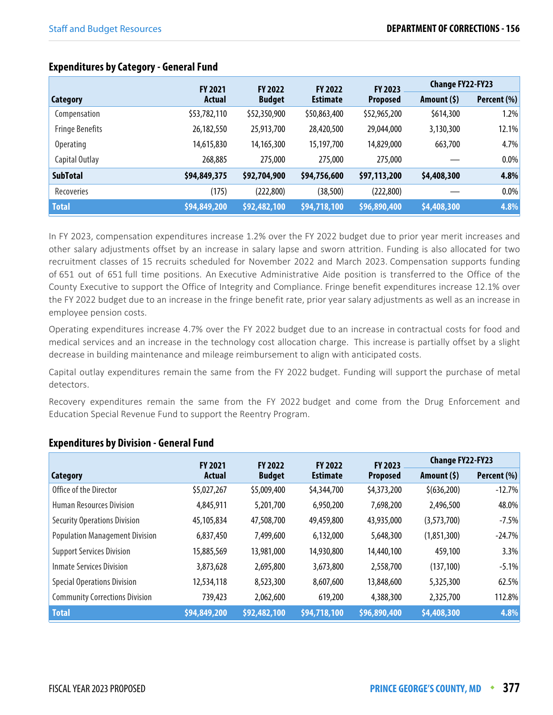|                        | <b>FY 2021</b> | <b>FY 2022</b> | <b>FY 2022</b>  | <b>FY 2023</b>  | <b>Change FY22-FY23</b> |             |
|------------------------|----------------|----------------|-----------------|-----------------|-------------------------|-------------|
| Category               | Actual         | <b>Budget</b>  | <b>Estimate</b> | <b>Proposed</b> | Amount (\$)             | Percent (%) |
| Compensation           | \$53,782,110   | \$52,350,900   | \$50,863,400    | \$52,965,200    | \$614,300               | 1.2%        |
| <b>Fringe Benefits</b> | 26,182,550     | 25,913,700     | 28,420,500      | 29,044,000      | 3,130,300               | 12.1%       |
| <b>Operating</b>       | 14,615,830     | 14,165,300     | 15,197,700      | 14,829,000      | 663,700                 | 4.7%        |
| Capital Outlay         | 268,885        | 275,000        | 275,000         | 275,000         |                         | 0.0%        |
| <b>SubTotal</b>        | \$94,849,375   | \$92,704,900   | \$94,756,600    | \$97,113,200    | \$4,408,300             | 4.8%        |
| Recoveries             | (175)          | (222, 800)     | (38, 500)       | (222, 800)      |                         | 0.0%        |
| <b>Total</b>           | \$94,849,200   | \$92,482,100   | \$94,718,100    | \$96,890,400    | \$4,408,300             | 4.8%        |

### **Expenditures by Category - General Fund**

In FY 2023, compensation expenditures increase 1.2% over the FY 2022 budget due to prior year merit increases and other salary adjustments offset by an increase in salary lapse and sworn attrition. Funding is also allocated for two recruitment classes of 15 recruits scheduled for November 2022 and March 2023. Compensation supports funding of 651 out of 651 full time positions. An Executive Administrative Aide position is transferred to the Office of the County Executive to support the Office of Integrity and Compliance. Fringe benefit expenditures increase 12.1% over the FY 2022 budget due to an increase in the fringe benefit rate, prior year salary adjustments as well as an increase in employee pension costs.

Operating expenditures increase 4.7% over the FY 2022 budget due to an increase in contractual costs for food and medical services and an increase in the technology cost allocation charge. This increase is partially offset by a slight decrease in building maintenance and mileage reimbursement to align with anticipated costs.

Capital outlay expenditures remain the same from the FY 2022 budget. Funding will support the purchase of metal detectors.

Recovery expenditures remain the same from the FY 2022 budget and come from the Drug Enforcement and Education Special Revenue Fund to support the Reentry Program.

|                                       | <b>FY 2021</b> | <b>FY 2022</b> | <b>FY 2022</b>  | FY 2023         | <b>Change FY22-FY23</b> |             |
|---------------------------------------|----------------|----------------|-----------------|-----------------|-------------------------|-------------|
| Category                              | Actual         | <b>Budget</b>  | <b>Estimate</b> | <b>Proposed</b> | Amount (\$)             | Percent (%) |
| Office of the Director                | \$5,027,267    | \$5,009,400    | \$4,344,700     | \$4,373,200     | \$(636,200)             | $-12.7%$    |
| <b>Human Resources Division</b>       | 4,845,911      | 5,201,700      | 6,950,200       | 7,698,200       | 2,496,500               | 48.0%       |
| <b>Security Operations Division</b>   | 45,105,834     | 47,508,700     | 49,459,800      | 43,935,000      | (3,573,700)             | $-7.5%$     |
| <b>Population Management Division</b> | 6,837,450      | 7,499,600      | 6,132,000       | 5,648,300       | (1,851,300)             | $-24.7%$    |
| <b>Support Services Division</b>      | 15,885,569     | 13,981,000     | 14,930,800      | 14,440,100      | 459,100                 | 3.3%        |
| Inmate Services Division              | 3,873,628      | 2,695,800      | 3,673,800       | 2,558,700       | (137, 100)              | $-5.1%$     |
| <b>Special Operations Division</b>    | 12,534,118     | 8,523,300      | 8,607,600       | 13,848,600      | 5,325,300               | 62.5%       |
| <b>Community Corrections Division</b> | 739,423        | 2,062,600      | 619,200         | 4,388,300       | 2,325,700               | 112.8%      |
| <b>Total</b>                          | \$94,849,200   | \$92,482,100   | \$94,718,100    | \$96,890,400    | \$4,408,300             | 4.8%        |

### **Expenditures by Division - General Fund**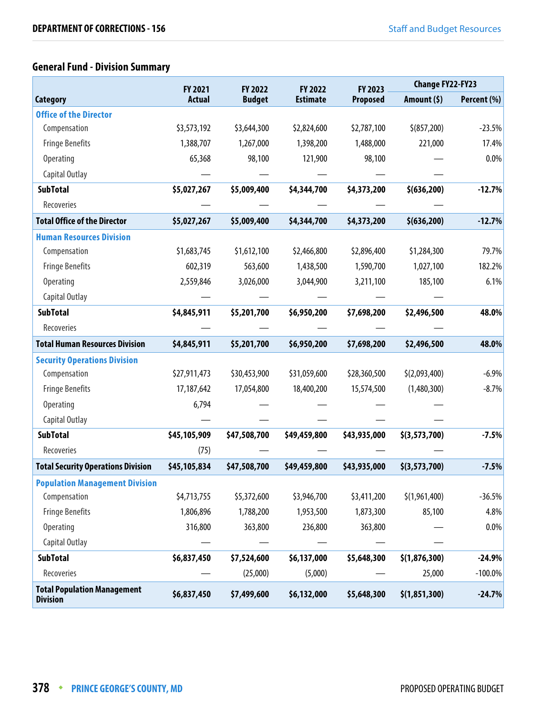# **General Fund - Division Summary**

|                                                       | <b>FY 2021</b> | FY 2022       | FY 2022         | FY 2023         | <b>Change FY22-FY23</b> |             |
|-------------------------------------------------------|----------------|---------------|-----------------|-----------------|-------------------------|-------------|
| <b>Category</b>                                       | <b>Actual</b>  | <b>Budget</b> | <b>Estimate</b> | <b>Proposed</b> | Amount (\$)             | Percent (%) |
| <b>Office of the Director</b>                         |                |               |                 |                 |                         |             |
| Compensation                                          | \$3,573,192    | \$3,644,300   | \$2,824,600     | \$2,787,100     | \$ (857, 200)           | $-23.5%$    |
| <b>Fringe Benefits</b>                                | 1,388,707      | 1,267,000     | 1,398,200       | 1,488,000       | 221,000                 | 17.4%       |
| <b>Operating</b>                                      | 65,368         | 98,100        | 121,900         | 98,100          |                         | 0.0%        |
| Capital Outlay                                        |                |               |                 |                 |                         |             |
| <b>SubTotal</b>                                       | \$5,027,267    | \$5,009,400   | \$4,344,700     | \$4,373,200     | \$ (636, 200)           | $-12.7%$    |
| Recoveries                                            |                |               |                 |                 |                         |             |
| <b>Total Office of the Director</b>                   | \$5,027,267    | \$5,009,400   | \$4,344,700     | \$4,373,200     | \$ (636, 200)           | $-12.7%$    |
| <b>Human Resources Division</b>                       |                |               |                 |                 |                         |             |
| Compensation                                          | \$1,683,745    | \$1,612,100   | \$2,466,800     | \$2,896,400     | \$1,284,300             | 79.7%       |
| <b>Fringe Benefits</b>                                | 602,319        | 563,600       | 1,438,500       | 1,590,700       | 1,027,100               | 182.2%      |
| Operating                                             | 2,559,846      | 3,026,000     | 3,044,900       | 3,211,100       | 185,100                 | 6.1%        |
| Capital Outlay                                        |                |               |                 |                 |                         |             |
| <b>SubTotal</b>                                       | \$4,845,911    | \$5,201,700   | \$6,950,200     | \$7,698,200     | \$2,496,500             | 48.0%       |
| Recoveries                                            |                |               |                 |                 |                         |             |
| <b>Total Human Resources Division</b>                 | \$4,845,911    | \$5,201,700   | \$6,950,200     | \$7,698,200     | \$2,496,500             | 48.0%       |
| <b>Security Operations Division</b>                   |                |               |                 |                 |                         |             |
| Compensation                                          | \$27,911,473   | \$30,453,900  | \$31,059,600    | \$28,360,500    | \$(2,093,400)           | $-6.9%$     |
| <b>Fringe Benefits</b>                                | 17,187,642     | 17,054,800    | 18,400,200      | 15,574,500      | (1,480,300)             | $-8.7%$     |
| <b>Operating</b>                                      | 6,794          |               |                 |                 |                         |             |
| Capital Outlay                                        |                |               |                 |                 |                         |             |
| <b>SubTotal</b>                                       | \$45,105,909   | \$47,508,700  | \$49,459,800    | \$43,935,000    | \$(3, 573, 700)         | $-7.5%$     |
| Recoveries                                            | (75)           |               |                 |                 |                         |             |
| <b>Total Security Operations Division</b>             | \$45,105,834   | \$47,508,700  | \$49,459,800    | \$43,935,000    | \$(3, 573, 700)         | $-7.5%$     |
| <b>Population Management Division</b>                 |                |               |                 |                 |                         |             |
| Compensation                                          | \$4,713,755    | \$5,372,600   | \$3,946,700     | \$3,411,200     | \$(1,961,400)           | $-36.5%$    |
| <b>Fringe Benefits</b>                                | 1,806,896      | 1,788,200     | 1,953,500       | 1,873,300       | 85,100                  | 4.8%        |
| Operating                                             | 316,800        | 363,800       | 236,800         | 363,800         |                         | 0.0%        |
| Capital Outlay                                        |                |               |                 |                 |                         |             |
| <b>SubTotal</b>                                       | \$6,837,450    | \$7,524,600   | \$6,137,000     | \$5,648,300     | \$(1,876,300)           | $-24.9%$    |
| Recoveries                                            |                | (25,000)      | (5,000)         |                 | 25,000                  | $-100.0\%$  |
| <b>Total Population Management</b><br><b>Division</b> | \$6,837,450    | \$7,499,600   | \$6,132,000     | \$5,648,300     | \$(1,851,300)           | $-24.7%$    |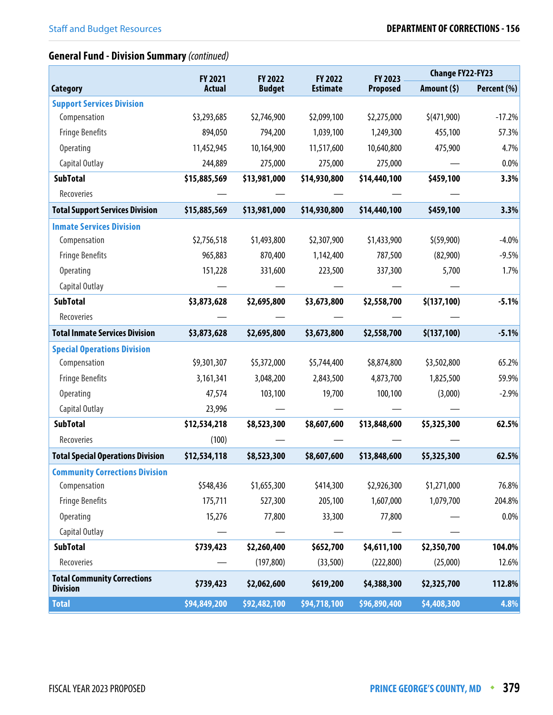# **General Fund - Division Summary** (continued)

|                                                       | <b>FY 2021</b> | FY 2022       | FY 2022         | FY 2023         | <b>Change FY22-FY23</b> |             |
|-------------------------------------------------------|----------------|---------------|-----------------|-----------------|-------------------------|-------------|
| <b>Category</b>                                       | <b>Actual</b>  | <b>Budget</b> | <b>Estimate</b> | <b>Proposed</b> | Amount $(5)$            | Percent (%) |
| <b>Support Services Division</b>                      |                |               |                 |                 |                         |             |
| Compensation                                          | \$3,293,685    | \$2,746,900   | \$2,099,100     | \$2,275,000     | \$(471,900)             | $-17.2%$    |
| <b>Fringe Benefits</b>                                | 894,050        | 794,200       | 1,039,100       | 1,249,300       | 455,100                 | 57.3%       |
| <b>Operating</b>                                      | 11,452,945     | 10,164,900    | 11,517,600      | 10,640,800      | 475,900                 | 4.7%        |
| Capital Outlay                                        | 244,889        | 275,000       | 275,000         | 275,000         |                         | 0.0%        |
| <b>SubTotal</b>                                       | \$15,885,569   | \$13,981,000  | \$14,930,800    | \$14,440,100    | \$459,100               | 3.3%        |
| Recoveries                                            |                |               |                 |                 |                         |             |
| <b>Total Support Services Division</b>                | \$15,885,569   | \$13,981,000  | \$14,930,800    | \$14,440,100    | \$459,100               | 3.3%        |
| <b>Inmate Services Division</b>                       |                |               |                 |                 |                         |             |
| Compensation                                          | \$2,756,518    | \$1,493,800   | \$2,307,900     | \$1,433,900     | \$ (59,900)             | $-4.0%$     |
| <b>Fringe Benefits</b>                                | 965,883        | 870,400       | 1,142,400       | 787,500         | (82,900)                | $-9.5%$     |
| <b>Operating</b>                                      | 151,228        | 331,600       | 223,500         | 337,300         | 5,700                   | 1.7%        |
| Capital Outlay                                        |                |               |                 |                 |                         |             |
| <b>SubTotal</b>                                       | \$3,873,628    | \$2,695,800   | \$3,673,800     | \$2,558,700     | \$(137,100)             | $-5.1%$     |
| Recoveries                                            |                |               |                 |                 |                         |             |
| <b>Total Inmate Services Division</b>                 | \$3,873,628    | \$2,695,800   | \$3,673,800     | \$2,558,700     | \$(137,100)             | $-5.1%$     |
| <b>Special Operations Division</b>                    |                |               |                 |                 |                         |             |
| Compensation                                          | \$9,301,307    | \$5,372,000   | \$5,744,400     | \$8,874,800     | \$3,502,800             | 65.2%       |
| <b>Fringe Benefits</b>                                | 3,161,341      | 3,048,200     | 2,843,500       | 4,873,700       | 1,825,500               | 59.9%       |
| <b>Operating</b>                                      | 47,574         | 103,100       | 19,700          | 100,100         | (3,000)                 | $-2.9%$     |
| Capital Outlay                                        | 23,996         |               |                 |                 |                         |             |
| <b>SubTotal</b>                                       | \$12,534,218   | \$8,523,300   | \$8,607,600     | \$13,848,600    | \$5,325,300             | 62.5%       |
| Recoveries                                            | (100)          |               |                 |                 |                         |             |
| <b>Total Special Operations Division</b>              | \$12,534,118   | \$8,523,300   | \$8,607,600     | \$13,848,600    | \$5,325,300             | 62.5%       |
| <b>Community Corrections Division</b>                 |                |               |                 |                 |                         |             |
| Compensation                                          | \$548,436      | \$1,655,300   | \$414,300       | \$2,926,300     | \$1,271,000             | 76.8%       |
| <b>Fringe Benefits</b>                                | 175,711        | 527,300       | 205,100         | 1,607,000       | 1,079,700               | 204.8%      |
| Operating                                             | 15,276         | 77,800        | 33,300          | 77,800          |                         | 0.0%        |
| Capital Outlay                                        |                |               |                 |                 |                         |             |
| <b>SubTotal</b>                                       | \$739,423      | \$2,260,400   | \$652,700       | \$4,611,100     | \$2,350,700             | 104.0%      |
| Recoveries                                            |                | (197, 800)    | (33,500)        | (222, 800)      | (25,000)                | 12.6%       |
| <b>Total Community Corrections</b><br><b>Division</b> | \$739,423      | \$2,062,600   | \$619,200       | \$4,388,300     | \$2,325,700             | 112.8%      |
| <b>Total</b>                                          | \$94,849,200   | \$92,482,100  | \$94,718,100    | \$96,890,400    | \$4,408,300             | 4.8%        |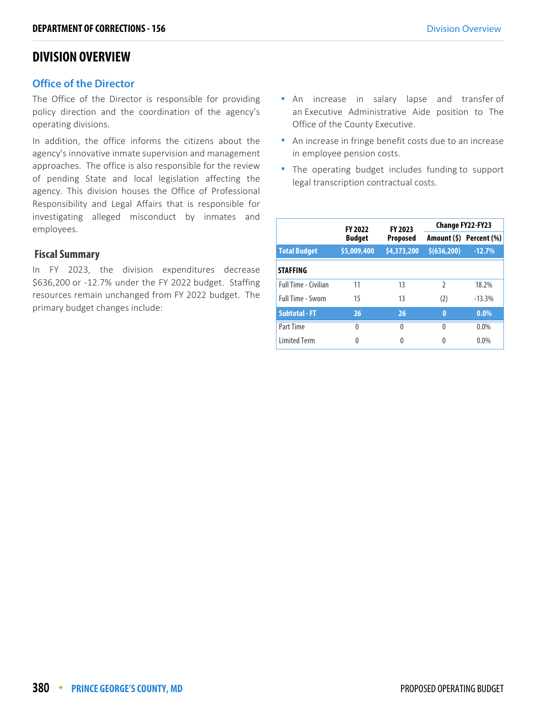# **DIVISION OVERVIEW**

### **Office of the Director**

**Office of the Director** The Office of the Director is responsible for providing policy direction and the coordination of the agency's operating divisions.

In addition, the office informs the citizens about the agency's innovative inmate supervision and management approaches. The office is also responsible for the review of pending State and local legislation affecting the agency. This division houses the Office of Professional Responsibility and Legal Affairs that is responsible for investigating alleged misconduct by inmates and employees.

### **Fiscal Summary**

In FY 2023, the division expenditures decrease \$636,200 or -12.7% under the FY 2022 budget. Staffing resources remain unchanged from FY 2022 budget. The primary budget changes include:

- **An** increase in salary lapse and transfer of an Executive Administrative Aide position to The Office of the County Executive.
- An increase in fringe benefit costs due to an increase in employee pension costs.
- The operating budget includes funding to support legal transcription contractual costs.

|                             | <b>FY 2022</b> | FY 2023         | <b>Change FY22-FY23</b> |                         |  |
|-----------------------------|----------------|-----------------|-------------------------|-------------------------|--|
|                             | <b>Budget</b>  | <b>Proposed</b> |                         | Amount (\$) Percent (%) |  |
| <b>Total Budget</b>         | \$5,009,400    | \$4,373,200     | \$ (636, 200)           | $-12.7%$                |  |
| <b>STAFFING</b>             |                |                 |                         |                         |  |
| <b>Full Time - Civilian</b> | 11             | 13              | $\mathfrak z$           | 18.2%                   |  |
| <b>Full Time - Sworn</b>    | 15             | 13              | (2)                     | $-13.3%$                |  |
| <b>Subtotal - FT</b>        | 26             | 26              | 0                       | $0.0\%$                 |  |
| Part Time                   | $\theta$       | $\Omega$        | $\Omega$                | $0.0\%$                 |  |
| <b>Limited Term</b>         | 0              | 0               | 0                       | 0.0%                    |  |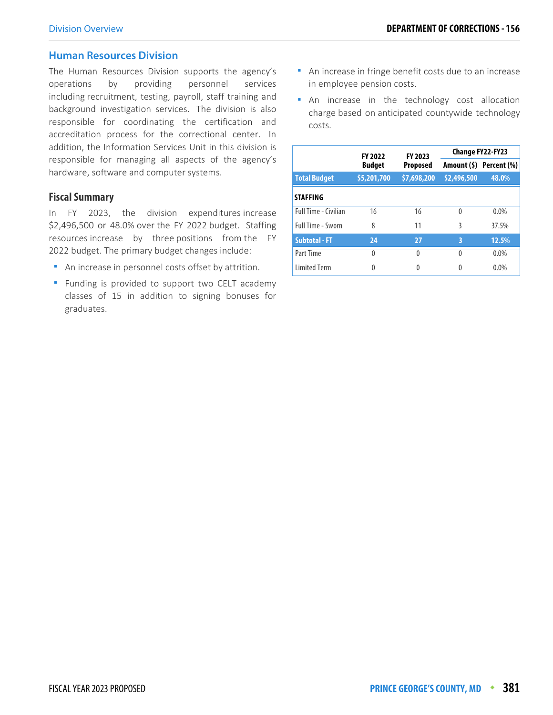**Human Resources Division** The Human Resources Division supports the agency's operations by providing personnel services including recruitment, testing, payroll, staff training and background investigation services. The division is also responsible for coordinating the certification and accreditation process for the correctional center. In addition, the Information Services Unit in this division is responsible for managing all aspects of the agency's hardware, software and computer systems.

### **Fiscal Summary**

In FY 2023, the division expenditures increase \$2,496,500 or 48.0% over the FY 2022 budget. Staffing resources increase by three positions from the FY 2022 budget. The primary budget changes include:

- An increase in personnel costs offset by attrition.
- **F** Funding is provided to support two CELT academy classes of 15 in addition to signing bonuses for graduates.
- An increase in fringe benefit costs due to an increase in employee pension costs.
- An increase in the technology cost allocation charge based on anticipated countywide technology costs.

|                             |                                  | FY 2023<br><b>FY 2022</b> |             | <b>Change FY22-FY23</b> |  |
|-----------------------------|----------------------------------|---------------------------|-------------|-------------------------|--|
|                             | <b>Budget</b><br><b>Proposed</b> |                           |             | Amount (\$) Percent (%) |  |
| <b>Total Budget</b>         | \$5,201,700                      | \$7,698,200               | \$2,496,500 | 48.0%                   |  |
| <b>STAFFING</b>             |                                  |                           |             |                         |  |
| <b>Full Time - Civilian</b> | 16                               | 16                        | $\Omega$    | $0.0\%$                 |  |
| Full Time - Sworn           | 8                                | 11                        | 3           | 37.5%                   |  |
| <b>Subtotal - FT</b>        | 24                               | 27                        | 3           | 12.5%                   |  |
| Part Time                   | $\Omega$                         | $\Omega$                  | $\Omega$    | $0.0\%$                 |  |
| <b>Limited Term</b>         | 0                                | 0                         | 0           | 0.0%                    |  |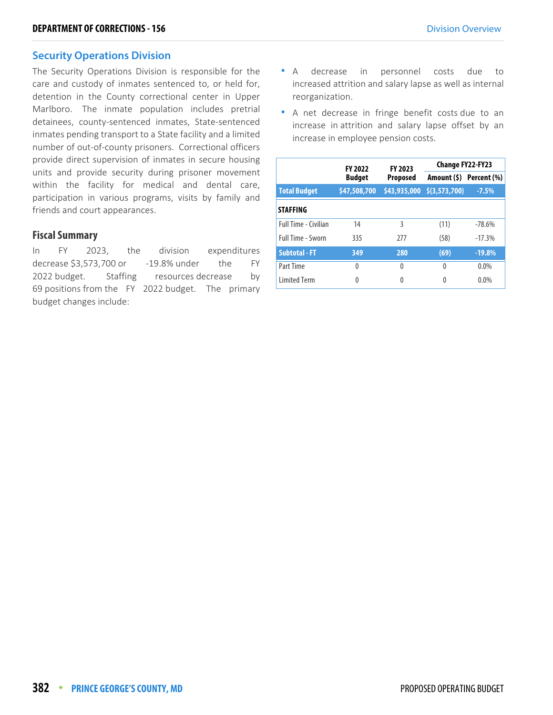**Security Operations Division** The Security Operations Division is responsible for the care and custody of inmates sentenced to, or held for, detention in the County correctional center in Upper Marlboro. The inmate population includes pretrial detainees, county-sentenced inmates, State-sentenced inmates pending transport to a State facility and a limited number of out-of-county prisoners. Correctional officers provide direct supervision of inmates in secure housing units and provide security during prisoner movement within the facility for medical and dental care, participation in various programs, visits by family and friends and court appearances.

### **Fiscal Summary**

In FY 2023, the division expenditures decrease \$3,573,700 or -19.8% under the FY 2022 budget. Staffing resources decrease by 69 positions from the FY 2022 budget. The primary budget changes include:

- A decrease in personnel costs due to increased attrition and salary lapse as well as internal reorganization.
- A net decrease in fringe benefit costs due to an increase in attrition and salary lapse offset by an increase in employee pension costs.

|                             | <b>FY 2022</b> | FY 2023         | Change FY22-FY23           |          |  |
|-----------------------------|----------------|-----------------|----------------------------|----------|--|
|                             | <b>Budget</b>  | <b>Proposed</b> | Amount (\$) Percent (%)    |          |  |
| <b>Total Budget</b>         | \$47,508,700   |                 | \$43,935,000 \$(3,573,700) | $-7.5%$  |  |
| <b>STAFFING</b>             |                |                 |                            |          |  |
| <b>Full Time - Civilian</b> | 14             | 3               | (11)                       | $-78.6%$ |  |
| <b>Full Time - Sworn</b>    | 335            | 277             | (58)                       | $-17.3%$ |  |
| <b>Subtotal - FT</b>        | 349            | 280             | (69)                       | $-19.8%$ |  |
| Part Time                   | $\Omega$       | 0               | 0                          | $0.0\%$  |  |
| <b>Limited Term</b>         | 0              | 0               | 0                          | $0.0\%$  |  |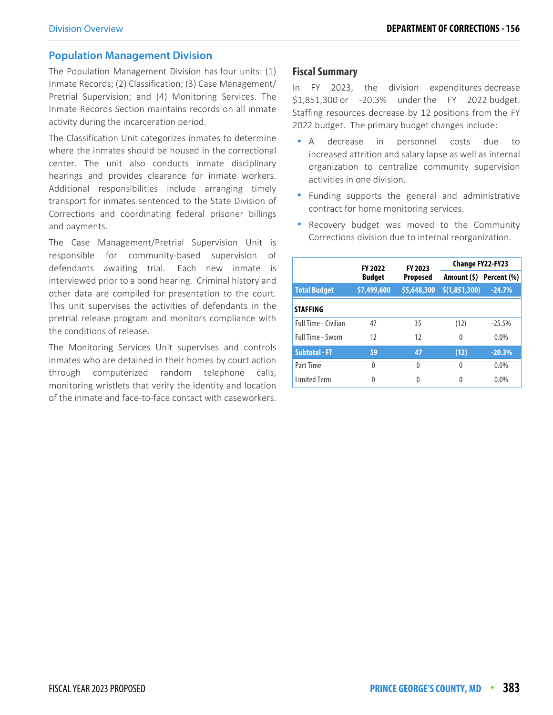**Population Management Division** The Population Management Division has four units: (1) Inmate Records; (2) Classification; (3) Case Management/ Pretrial Supervision; and (4) Monitoring Services. The Inmate Records Section maintains records on all inmate activity during the incarceration period.

The Classification Unit categorizes inmates to determine where the inmates should be housed in the correctional center. The unit also conducts inmate disciplinary hearings and provides clearance for inmate workers. Additional responsibilities include arranging timely transport for inmates sentenced to the State Division of Corrections and coordinating federal prisoner billings and payments.

The Case Management/Pretrial Supervision Unit is responsible for community-based supervision of defendants awaiting trial. Each new inmate is interviewed prior to a bond hearing. Criminal history and other data are compiled for presentation to the court. This unit supervises the activities of defendants in the pretrial release program and monitors compliance with the conditions of release.

The Monitoring Services Unit supervises and controls inmates who are detained in their homes by court action through computerized random telephone calls, monitoring wristlets that verify the identity and location of the inmate and face-to-face contact with caseworkers.

### **Fiscal Summary**

In FY 2023, the division expenditures decrease \$1,851,300 or -20.3% under the FY 2022 budget. Staffing resources decrease by 12 positions from the FY 2022 budget. The primary budget changes include:

- A decrease in personnel costs due to increased attrition and salary lapse as well as internal organization to centralize community supervision activities in one division.
- Funding supports the general and administrative contract for home monitoring services.
- **-** Recovery budget was moved to the Community Corrections division due to internal reorganization.

|                             | <b>FY 2022</b> | FY 2023         | Change FY22-FY23        |          |  |
|-----------------------------|----------------|-----------------|-------------------------|----------|--|
|                             | <b>Budget</b>  | <b>Proposed</b> | Amount (\$) Percent (%) |          |  |
| <b>Total Budget</b>         | \$7,499,600    | \$5,648,300     | \$(1,851,300)           | $-24.7%$ |  |
| <b>STAFFING</b>             |                |                 |                         |          |  |
| <b>Full Time - Civilian</b> | 47             | 35              | (12)                    | $-25.5%$ |  |
| <b>Full Time - Sworn</b>    | 12             | 12              | 0                       | $0.0\%$  |  |
| <b>Subtotal - FT</b>        | 59             | 47              | (12)                    | $-20.3%$ |  |
| Part Time                   | 0              | 0               | 0                       | $0.0\%$  |  |
| <b>Limited Term</b>         | 0              | 0               | 0                       | $0.0\%$  |  |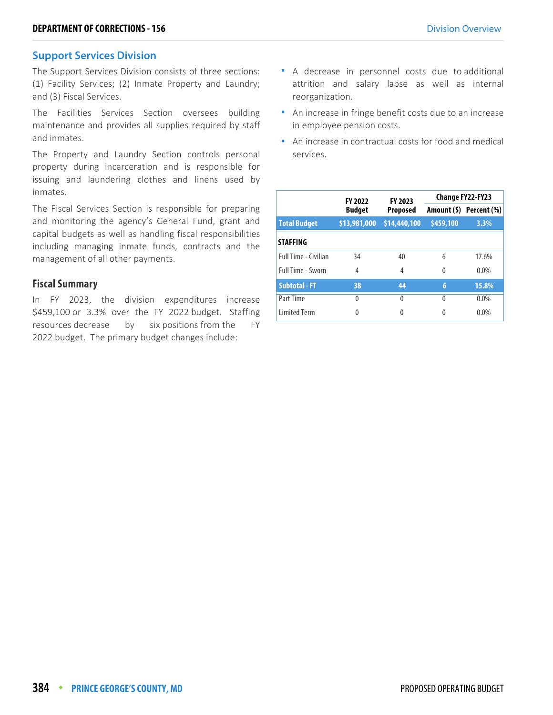**Support Services Division** The Support Services Division consists of three sections: (1) Facility Services; (2) Inmate Property and Laundry; and (3) Fiscal Services.

The Facilities Services Section oversees building maintenance and provides all supplies required by staff and inmates.

The Property and Laundry Section controls personal property during incarceration and is responsible for issuing and laundering clothes and linens used by inmates.

The Fiscal Services Section is responsible for preparing and monitoring the agency's General Fund, grant and capital budgets as well as handling fiscal responsibilities including managing inmate funds, contracts and the management of all other payments.

### **Fiscal Summary**

In FY 2023, the division expenditures increase \$459,100 or 3.3% over the FY 2022 budget. Staffing resources decrease by six positions from the FY 2022 budget. The primary budget changes include:

- A decrease in personnel costs due to additional attrition and salary lapse as well as internal reorganization.
- An increase in fringe benefit costs due to an increase in employee pension costs.
- An increase in contractual costs for food and medical services.

|                      | <b>FY 2022</b> | FY 2023         | Change FY22-FY23 |                         |  |
|----------------------|----------------|-----------------|------------------|-------------------------|--|
|                      | <b>Budget</b>  | <b>Proposed</b> |                  | Amount (\$) Percent (%) |  |
| <b>Total Budget</b>  | \$13,981,000   | \$14,440,100    | \$459,100        | 3.3%                    |  |
| <b>STAFFING</b>      |                |                 |                  |                         |  |
| Full Time - Civilian | 34             | 40              | 6                | 17.6%                   |  |
| Full Time - Sworn    | 4              | 4               | 0                | $0.0\%$                 |  |
| <b>Subtotal - FT</b> | 38             | 44              | 6                | 15.8%                   |  |
| Part Time            | $\Omega$       | $\Omega$        | $\Omega$         | 0.0%                    |  |
| <b>Limited Term</b>  | 0              | 0               | 0                | $0.0\%$                 |  |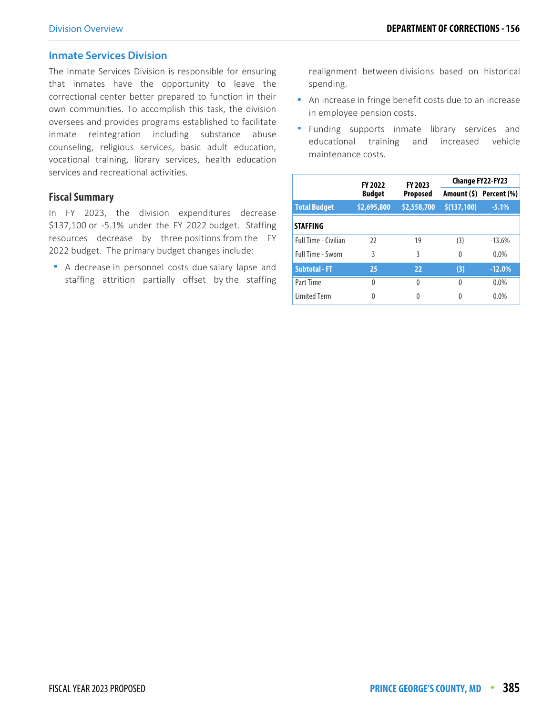### **Inmate Services Division**

**Inmate Services Division** The Inmate Services Division is responsible for ensuring that inmates have the opportunity to leave the correctional center better prepared to function in their own communities. To accomplish this task, the division oversees and provides programs established to facilitate inmate reintegration including substance abuse counseling, religious services, basic adult education, vocational training, library services, health education services and recreational activities.

### **Fiscal Summary**

In FY 2023, the division expenditures decrease \$137,100 or -5.1% under the FY 2022 budget. Staffing resources decrease by three positions from the FY 2022 budget. The primary budget changes include:

A decrease in personnel costs due salary lapse and staffing attrition partially offset by the staffing

realignment between divisions based on historical spending.

- **An increase in fringe benefit costs due to an increase** in employee pension costs.
- **Funding supports inmate library services and** educational training and increased vehicle maintenance costs.

|                      | <b>FY 2022</b> | FY 2023     | Change FY22-FY23 |                         |  |  |
|----------------------|----------------|-------------|------------------|-------------------------|--|--|
|                      | <b>Budget</b>  | Proposed    |                  | Amount (\$) Percent (%) |  |  |
| <b>Total Budget</b>  | \$2,695,800    | \$2,558,700 | \$(137,100)      | $-5.1%$                 |  |  |
| <b>STAFFING</b>      |                |             |                  |                         |  |  |
| Full Time - Civilian | 22             | 19          | (3)              | $-13.6%$                |  |  |
| Full Time - Sworn    | 3              | 3           | 0                | $0.0\%$                 |  |  |
| <b>Subtotal - FT</b> | 25             | 22          | (3)              | $-12.0%$                |  |  |
| Part Time            | 0              | 0           | $\Omega$         | $0.0\%$                 |  |  |
| <b>Limited Term</b>  | 0              | 0           | 0                | $0.0\%$                 |  |  |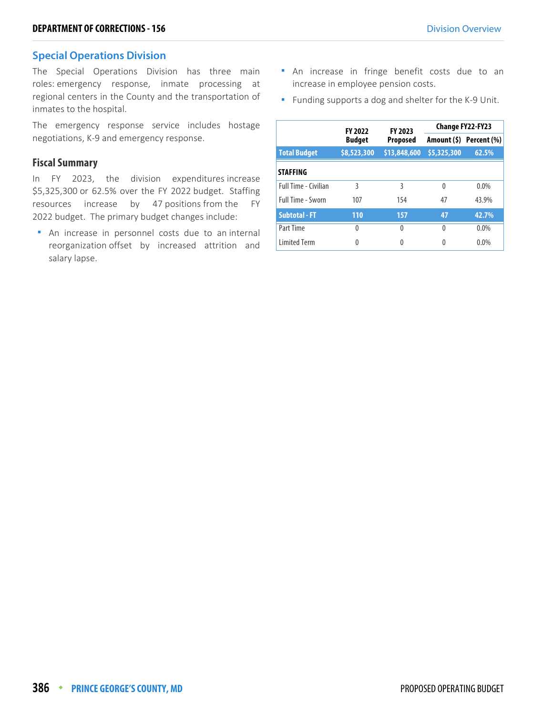**Special Operations Division** The Special Operations Division has three main roles: emergency response, inmate processing at regional centers in the County and the transportation of inmates to the hospital.

The emergency response service includes hostage negotiations, K-9 and emergency response.

### **Fiscal Summary**

In FY 2023, the division expenditures increase \$5,325,300 or 62.5% over the FY 2022 budget. Staffing resources increase by 47 positions from the FY 2022 budget. The primary budget changes include:

 An increase in personnel costs due to an internal reorganization offset by increased attrition and salary lapse.

- **An** increase in fringe benefit costs due to an increase in employee pension costs.
- **Funding supports a dog and shelter for the K-9 Unit.**

|                             | <b>FY 2022</b> | <b>FY 2023</b>  | <b>Change FY22-FY23</b> |                         |  |
|-----------------------------|----------------|-----------------|-------------------------|-------------------------|--|
|                             | <b>Budget</b>  | <b>Proposed</b> |                         | Amount (\$) Percent (%) |  |
| <b>Total Budget</b>         | \$8,523,300    | \$13,848,600    | \$5,325,300             | 62.5%                   |  |
| <b>STAFFING</b>             |                |                 |                         |                         |  |
| <b>Full Time - Civilian</b> | ξ              | 3               | $\Omega$                | $0.0\%$                 |  |
| Full Time - Sworn           | 107            | 154             | 47                      | 43.9%                   |  |
| <b>Subtotal - FT</b>        | 110            | 157             | 47                      | 42.7%                   |  |
| Part Time                   | $\Omega$       | 0               | $\Omega$                | 0.0%                    |  |
| <b>Limited Term</b>         | Λ              | N               | Λ                       | 0.0%                    |  |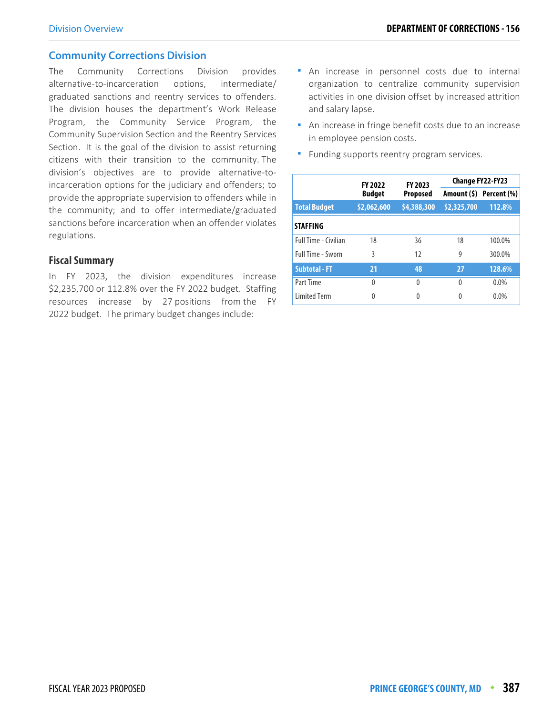**Community Corrections Division** The Community Corrections Division provides alternative-to-incarceration options, intermediate/ graduated sanctions and reentry services to offenders. The division houses the department's Work Release Program, the Community Service Program, the Community Supervision Section and the Reentry Services Section. It is the goal of the division to assist returning citizens with their transition to the community. The division's objectives are to provide alternative-toincarceration options for the judiciary and offenders; to provide the appropriate supervision to offenders while in the community; and to offer intermediate/graduated sanctions before incarceration when an offender violates regulations.

### **Fiscal Summary**

In FY 2023, the division expenditures increase \$2,235,700 or 112.8% over the FY 2022 budget. Staffing resources increase by 27 positions from the FY 2022 budget. The primary budget changes include:

- An increase in personnel costs due to internal organization to centralize community supervision activities in one division offset by increased attrition and salary lapse.
- An increase in fringe benefit costs due to an increase in employee pension costs.
- **Funding supports reentry program services.**

|                             | <b>FY 2022</b> | FY 2023         | Change FY22-FY23 |                         |  |  |
|-----------------------------|----------------|-----------------|------------------|-------------------------|--|--|
|                             | <b>Budget</b>  | <b>Proposed</b> |                  | Amount (\$) Percent (%) |  |  |
| <b>Total Budget</b>         | \$2,062,600    | \$4,388,300     | \$2,325,700      | 112.8%                  |  |  |
| <b>STAFFING</b>             |                |                 |                  |                         |  |  |
| <b>Full Time - Civilian</b> | 18             | 36              | 18               | 100.0%                  |  |  |
| <b>Full Time - Sworn</b>    | 3              | 12              | 9                | 300.0%                  |  |  |
| <b>Subtotal - FT</b>        | 21             | 48              | 27               | 128.6%                  |  |  |
| Part Time                   | 0              | 0               | $\Omega$         | $0.0\%$                 |  |  |
| <b>Limited Term</b>         | Λ              | 0               |                  | $0.0\%$                 |  |  |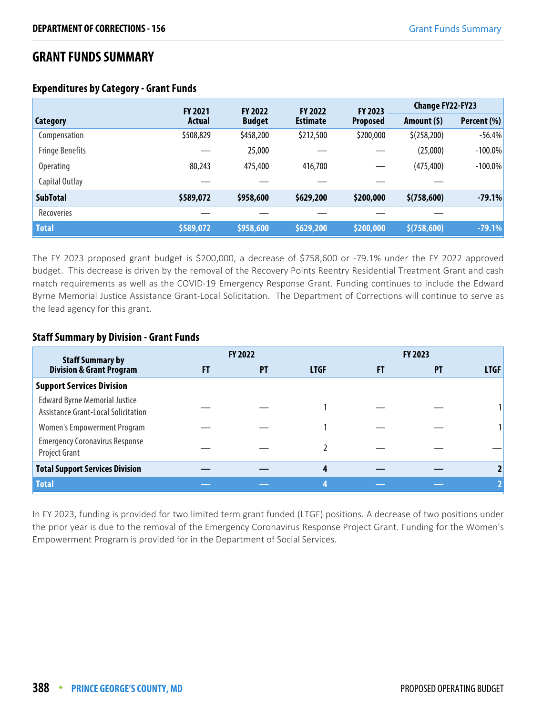# **GRANT FUNDS SUMMARY**

### **Expenditures by Category - Grant Funds**

|                        | <b>FY 2021</b> | <b>FY 2022</b> | <b>FY 2022</b>  | FY 2023         | <b>Change FY22-FY23</b> |             |
|------------------------|----------------|----------------|-----------------|-----------------|-------------------------|-------------|
| Category               | Actual         | <b>Budget</b>  | <b>Estimate</b> | <b>Proposed</b> | Amount $(5)$            | Percent (%) |
| Compensation           | \$508,829      | \$458,200      | \$212,500       | \$200,000       | \$(258, 200)            | $-56.4%$    |
| <b>Fringe Benefits</b> |                | 25,000         |                 |                 | (25,000)                | $-100.0\%$  |
| <b>Operating</b>       | 80,243         | 475,400        | 416,700         |                 | (475, 400)              | $-100.0\%$  |
| Capital Outlay         |                |                |                 |                 |                         |             |
| <b>SubTotal</b>        | \$589,072      | \$958,600      | \$629,200       | \$200,000       | \$(758,600)             | $-79.1%$    |
| Recoveries             |                |                |                 |                 |                         |             |
| <b>Total</b>           | \$589,072      | \$958,600      | \$629,200       | \$200,000       | \$(758,600)             | $-79.1%$    |

The FY 2023 proposed grant budget is \$200,000, a decrease of \$758,600 or -79.1% under the FY 2022 approved budget. This decrease is driven by the removal of the Recovery Points Reentry Residential Treatment Grant and cash match requirements as well as the COVID-19 Emergency Response Grant. Funding continues to include the Edward Byrne Memorial Justice Assistance Grant-Local Solicitation. The Department of Corrections will continue to serve as the lead agency for this grant.

### **Staff Summary by Division - Grant Funds**

| <b>Staff Summary by</b>                                                     |    | <b>FY 2022</b> |             |       | <b>FY 2023</b> |             |
|-----------------------------------------------------------------------------|----|----------------|-------------|-------|----------------|-------------|
| <b>Division &amp; Grant Program</b>                                         | FT | <b>PT</b>      | <b>LTGF</b> | . F L | PT             | <b>LTGF</b> |
| <b>Support Services Division</b>                                            |    |                |             |       |                |             |
| <b>Edward Byrne Memorial Justice</b><br>Assistance Grant-Local Solicitation |    |                |             |       |                |             |
| <b>Women's Empowerment Program</b>                                          |    |                |             |       |                |             |
| <b>Emergency Coronavirus Response</b><br>Project Grant                      |    |                |             |       |                |             |
| <b>Total Support Services Division</b>                                      |    |                |             |       |                |             |
| <b>Total</b>                                                                |    |                |             |       |                |             |

In FY 2023, funding is provided for two limited term grant funded (LTGF) positions. A decrease of two positions under the prior year is due to the removal of the Emergency Coronavirus Response Project Grant. Funding for the Women's Empowerment Program is provided for in the Department of Social Services.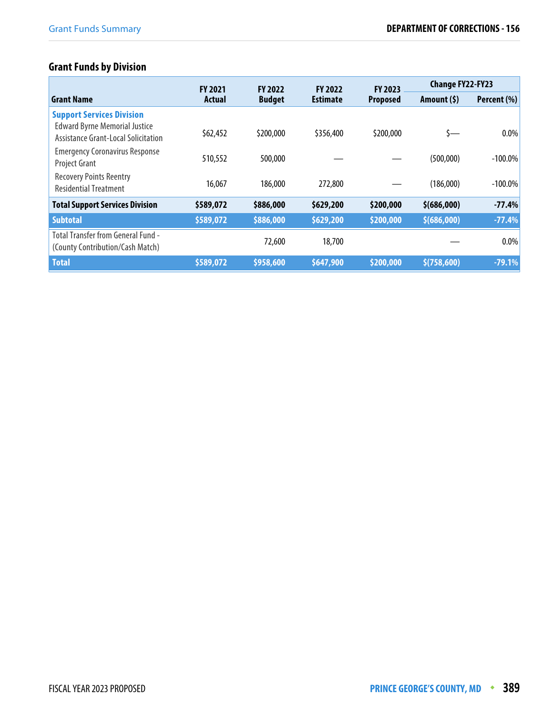# **Grant Funds by Division**

|                                                                                                                 | <b>FY 2021</b> | <b>FY 2022</b> | <b>FY 2022</b>  | <b>FY 2023</b>  | <b>Change FY22-FY23</b> |             |
|-----------------------------------------------------------------------------------------------------------------|----------------|----------------|-----------------|-----------------|-------------------------|-------------|
| <b>Grant Name</b>                                                                                               | <b>Actual</b>  | <b>Budget</b>  | <b>Estimate</b> | <b>Proposed</b> | Amount $(5)$            | Percent (%) |
| <b>Support Services Division</b><br><b>Edward Byrne Memorial Justice</b><br>Assistance Grant-Local Solicitation | \$62,452       | \$200,000      | \$356,400       | \$200,000       | \$—                     | $0.0\%$     |
| <b>Emergency Coronavirus Response</b><br><b>Project Grant</b>                                                   | 510,552        | 500,000        |                 |                 | (500,000)               | $-100.0\%$  |
| <b>Recovery Points Reentry</b><br><b>Residential Treatment</b>                                                  | 16,067         | 186,000        | 272,800         |                 | (186,000)               | $-100.0\%$  |
| <b>Total Support Services Division</b>                                                                          | \$589,072      | \$886,000      | \$629,200       | \$200,000       | \$ (686,000)            | $-77.4%$    |
| <b>Subtotal</b>                                                                                                 | \$589,072      | \$886,000      | \$629,200       | \$200,000       | \$(686,000)             | $-77.4%$    |
| <b>Total Transfer from General Fund -</b><br>(County Contribution/Cash Match)                                   |                | 72,600         | 18,700          |                 |                         | 0.0%        |
| <b>Total</b>                                                                                                    | \$589,072      | \$958,600      | \$647,900       | \$200,000       | \$(758,600)             | $-79.1%$    |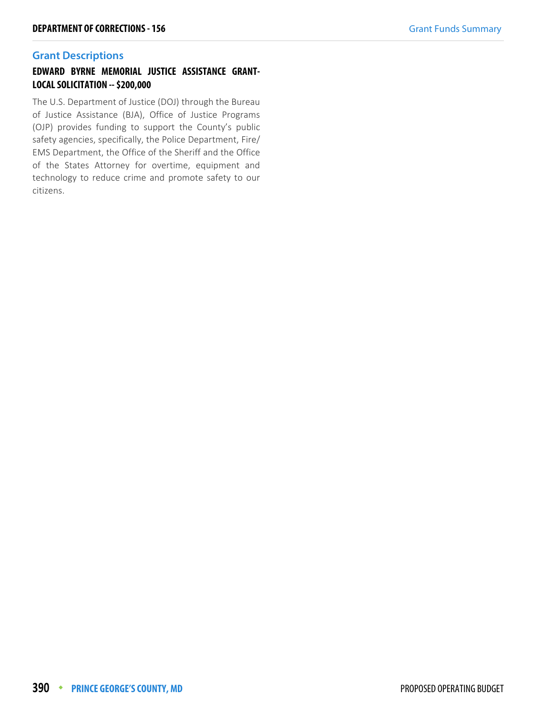# **EDWARD BYRNE MEMORIAL JUSTICE ASSISTANCE GRANT-LOCAL SOLICITATION -- \$200,000**

The U.S. Department of Justice (DOJ) through the Bureau of Justice Assistance (BJA), Office of Justice Programs (OJP) provides funding to support the County's public safety agencies, specifically, the Police Department, Fire/ EMS Department, the Office of the Sheriff and the Office of the States Attorney for overtime, equipment and technology to reduce crime and promote safety to our citizens.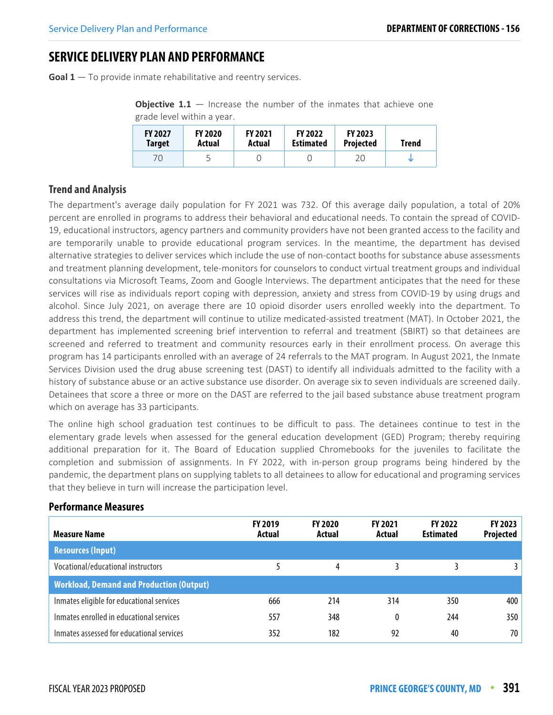# **SERVICE DELIVERY PLAN AND PERFORMANCE**

**Goal 1** – To provide inmate rehabilitative and reentry services.

**Objective 1.1** – Increase the number of the inmates that achieve one grade level within a year.

| <b>FY 2027</b> | <b>FY 2020</b> | <b>FY 2021</b> | <b>FY 2022</b>   | <b>FY 2023</b>   | Trend |
|----------------|----------------|----------------|------------------|------------------|-------|
| Target         | Actual         | Actual         | <b>Estimated</b> | <b>Projected</b> |       |
| 70             |                |                |                  | 20               |       |

### **Trend and Analysis**

The department's average daily population for FY 2021 was 732. Of this average daily population, a total of 20% percent are enrolled in programs to address their behavioral and educational needs. To contain the spread of COVID-19, educational instructors, agency partners and community providers have not been granted access to the facility and are temporarily unable to provide educational program services. In the meantime, the department has devised alternative strategies to deliver services which include the use of non-contact booths for substance abuse assessments and treatment planning development, tele-monitors for counselors to conduct virtual treatment groups and individual consultations via Microsoft Teams, Zoom and Google Interviews. The department anticipates that the need for these services will rise as individuals report coping with depression, anxiety and stress from COVID-19 by using drugs and alcohol. Since July 2021, on average there are 10 opioid disorder users enrolled weekly into the department. To address this trend, the department will continue to utilize medicated-assisted treatment (MAT). In October 2021, the department has implemented screening brief intervention to referral and treatment (SBIRT) so that detainees are screened and referred to treatment and community resources early in their enrollment process. On average this program has 14 participants enrolled with an average of 24 referrals to the MAT program. In August 2021, the Inmate Services Division used the drug abuse screening test (DAST) to identify all individuals admitted to the facility with a history of substance abuse or an active substance use disorder. On average six to seven individuals are screened daily. Detainees that score a three or more on the DAST are referred to the jail based substance abuse treatment program which on average has 33 participants.

The online high school graduation test continues to be difficult to pass. The detainees continue to test in the elementary grade levels when assessed for the general education development (GED) Program; thereby requiring additional preparation for it. The Board of Education supplied Chromebooks for the juveniles to facilitate the completion and submission of assignments. In FY 2022, with in-person group programs being hindered by the pandemic, the department plans on supplying tablets to all detainees to allow for educational and programing services that they believe in turn will increase the participation level.

| <b>Measure Name</b>                             | <b>FY 2019</b><br>Actual | <b>FY 2020</b><br>Actual | <b>FY 2021</b><br>Actual | <b>FY 2022</b><br><b>Estimated</b> | <b>FY 2023</b><br>Projected |
|-------------------------------------------------|--------------------------|--------------------------|--------------------------|------------------------------------|-----------------------------|
| <b>Resources (Input)</b>                        |                          |                          |                          |                                    |                             |
| Vocational/educational instructors              |                          | 4                        |                          |                                    | 3.                          |
| <b>Workload, Demand and Production (Output)</b> |                          |                          |                          |                                    |                             |
| Inmates eligible for educational services       | 666                      | 214                      | 314                      | 350                                | 400                         |
| Inmates enrolled in educational services        | 557                      | 348                      | 0                        | 244                                | 350                         |
| Inmates assessed for educational services       | 352                      | 182                      | 92                       | 40                                 | 70                          |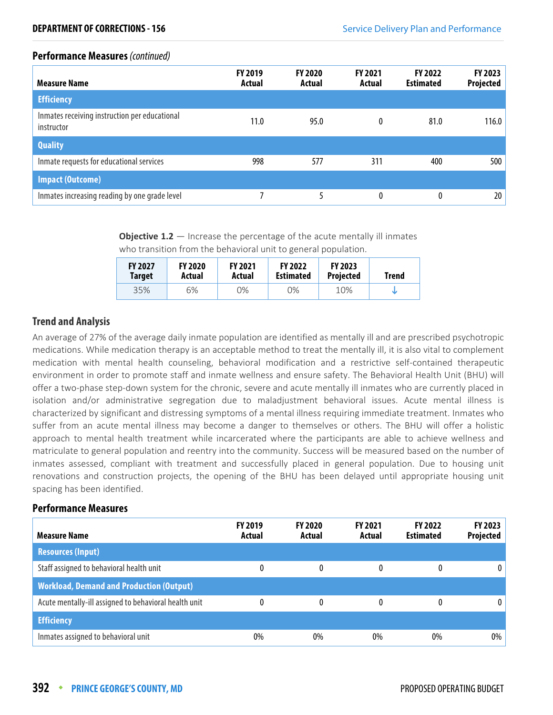| <b>Measure Name</b>                                         | <b>FY 2019</b><br>Actual | <b>FY 2020</b><br>Actual | <b>FY 2021</b><br>Actual | <b>FY 2022</b><br><b>Estimated</b> | FY 2023<br><b>Projected</b> |
|-------------------------------------------------------------|--------------------------|--------------------------|--------------------------|------------------------------------|-----------------------------|
| <b>Efficiency</b>                                           |                          |                          |                          |                                    |                             |
| Inmates receiving instruction per educational<br>instructor | 11.0                     | 95.0                     | 0                        | 81.0                               | 116.0                       |
| <b>Quality</b>                                              |                          |                          |                          |                                    |                             |
| Inmate requests for educational services                    | 998                      | 577                      | 311                      | 400                                | 500                         |
| <b>Impact (Outcome)</b>                                     |                          |                          |                          |                                    |                             |
| Inmates increasing reading by one grade level               |                          |                          | 0                        | 0                                  | 20 <sub>1</sub>             |

**Objective 1.2** – Increase the percentage of the acute mentally ill inmates who transition from the behavioral unit to general population.

| <b>FY 2027</b> | <b>FY 2020</b> | <b>FY 2021</b> | <b>FY 2022</b>   | <b>FY 2023</b>   | Trend |
|----------------|----------------|----------------|------------------|------------------|-------|
| <b>Target</b>  | Actual         | Actual         | <b>Estimated</b> | <b>Projected</b> |       |
| 35%            | 6%             | 0%             | 0%               | 10%              |       |

### **Trend and Analysis**

An average of 27% of the average daily inmate population are identified as mentally ill and are prescribed psychotropic medications. While medication therapy is an acceptable method to treat the mentally ill, it is also vital to complement medication with mental health counseling, behavioral modification and a restrictive self-contained therapeutic environment in order to promote staff and inmate wellness and ensure safety. The Behavioral Health Unit (BHU) will offer a two-phase step-down system for the chronic, severe and acute mentally ill inmates who are currently placed in isolation and/or administrative segregation due to maladjustment behavioral issues. Acute mental illness is characterized by significant and distressing symptoms of a mental illness requiring immediate treatment. Inmates who suffer from an acute mental illness may become a danger to themselves or others. The BHU will offer a holistic approach to mental health treatment while incarcerated where the participants are able to achieve wellness and matriculate to general population and reentry into the community. Success will be measured based on the number of inmates assessed, compliant with treatment and successfully placed in general population. Due to housing unit renovations and construction projects, the opening of the BHU has been delayed until appropriate housing unit spacing has been identified.

| <b>Measure Name</b>                                   | <b>FY 2019</b><br>Actual | <b>FY 2020</b><br>Actual | <b>FY 2021</b><br>Actual | <b>FY 2022</b><br><b>Estimated</b> | <b>FY 2023</b><br>Projected |
|-------------------------------------------------------|--------------------------|--------------------------|--------------------------|------------------------------------|-----------------------------|
| <b>Resources (Input)</b>                              |                          |                          |                          |                                    |                             |
| Staff assigned to behavioral health unit              | 0                        | 0                        |                          | 0                                  | 0                           |
| <b>Workload, Demand and Production (Output)</b>       |                          |                          |                          |                                    |                             |
| Acute mentally-ill assigned to behavioral health unit | 0                        | 0                        |                          | 0                                  | $\mathbf{0}$                |
| <b>Efficiency</b>                                     |                          |                          |                          |                                    |                             |
| Inmates assigned to behavioral unit                   | $0\%$                    | $0\%$                    | 0%                       | $0\%$                              | $0\%$                       |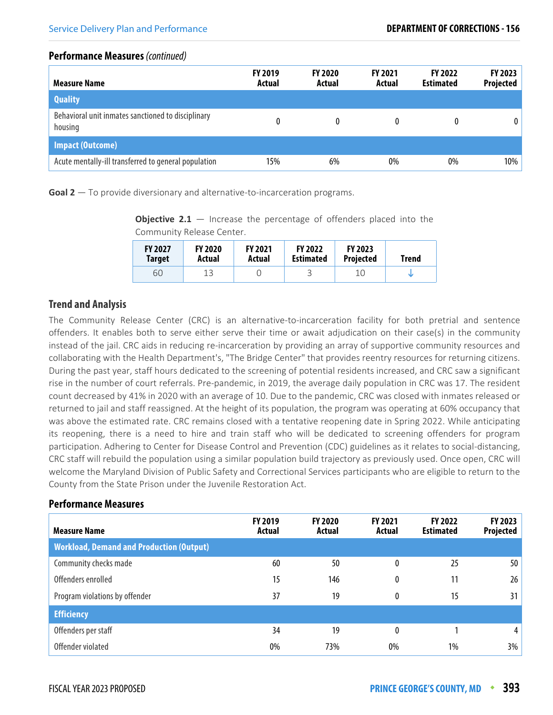| <b>Measure Name</b>                                           | <b>FY 2019</b><br>Actual | <b>FY 2020</b><br>Actual | <b>FY 2021</b><br>Actual | <b>FY 2022</b><br><b>Estimated</b> | FY 2023<br>Projected |
|---------------------------------------------------------------|--------------------------|--------------------------|--------------------------|------------------------------------|----------------------|
| <b>Quality</b>                                                |                          |                          |                          |                                    |                      |
| Behavioral unit inmates sanctioned to disciplinary<br>housing | 0                        | 0                        |                          |                                    | 0                    |
| <b>Impact (Outcome)</b>                                       |                          |                          |                          |                                    |                      |
| Acute mentally-ill transferred to general population          | 15%                      | 6%                       | 0%                       | 0%                                 | 10%                  |

**Goal 2** — To provide diversionary and alternative-to-incarceration programs.

**Objective 2.1** – Increase the percentage of offenders placed into the Community Release Center.

| <b>FY 2027</b> | <b>FY 2020</b> | <b>FY 2021</b> | <b>FY 2022</b>   | <b>FY 2023</b>   | Trend |
|----------------|----------------|----------------|------------------|------------------|-------|
| <b>Target</b>  | Actual         | Actual         | <b>Estimated</b> | <b>Projected</b> |       |
| 60             | 1 2            |                | ٮ                | 10               |       |

### **Trend and Analysis**

The Community Release Center (CRC) is an alternative-to-incarceration facility for both pretrial and sentence offenders. It enables both to serve either serve their time or await adjudication on their case(s) in the community instead of the jail. CRC aids in reducing re-incarceration by providing an array of supportive community resources and collaborating with the Health Department's, "The Bridge Center" that provides reentry resources for returning citizens. During the past year, staff hours dedicated to the screening of potential residents increased, and CRC saw a significant rise in the number of court referrals. Pre-pandemic, in 2019, the average daily population in CRC was 17. The resident count decreased by 41% in 2020 with an average of 10. Due to the pandemic, CRC was closed with inmates released or returned to jail and staff reassigned. At the height of its population, the program was operating at 60% occupancy that was above the estimated rate. CRC remains closed with a tentative reopening date in Spring 2022. While anticipating its reopening, there is a need to hire and train staff who will be dedicated to screening offenders for program participation. Adhering to Center for Disease Control and Prevention (CDC) guidelines as it relates to social-distancing, CRC staff will rebuild the population using a similar population build trajectory as previously used. Once open, CRC will welcome the Maryland Division of Public Safety and Correctional Services participants who are eligible to return to the County from the State Prison under the Juvenile Restoration Act.

| <b>Measure Name</b>                             | FY 2019<br>Actual | FY 2020<br>Actual | <b>FY 2021</b><br>Actual | FY 2022<br><b>Estimated</b> | FY 2023<br><b>Projected</b> |
|-------------------------------------------------|-------------------|-------------------|--------------------------|-----------------------------|-----------------------------|
| <b>Workload, Demand and Production (Output)</b> |                   |                   |                          |                             |                             |
| Community checks made                           | 60                | 50                | 0                        | 25                          | 50                          |
| Offenders enrolled                              | 15                | 146               | 0                        | 11                          | 26                          |
| Program violations by offender                  | 37                | 19                | 0                        | 15                          | 31                          |
| <b>Efficiency</b>                               |                   |                   |                          |                             |                             |
| Offenders per staff                             | 34                | 19                | 0                        |                             | 4                           |
| Offender violated                               | $0\%$             | 73%               | 0%                       | 1%                          | 3%                          |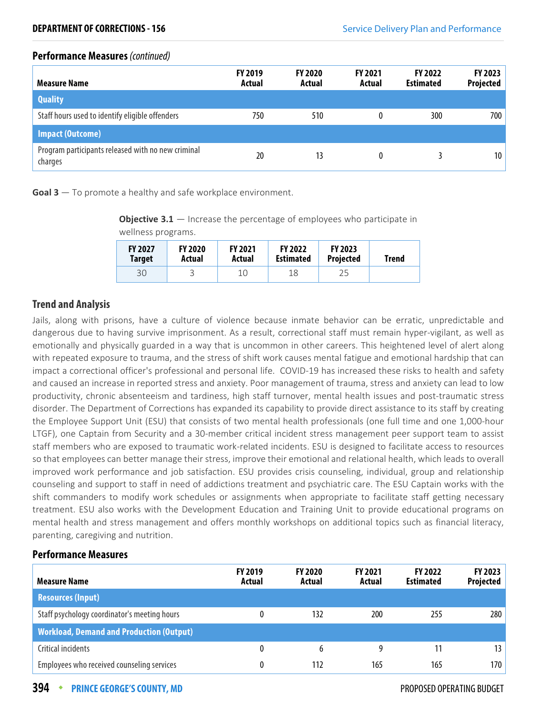| <b>Measure Name</b>                                           | <b>FY 2019</b><br>Actual | <b>FY 2020</b><br>Actual | <b>FY 2021</b><br>Actual | <b>FY 2022</b><br><b>Estimated</b> | FY 2023<br><b>Projected</b> |
|---------------------------------------------------------------|--------------------------|--------------------------|--------------------------|------------------------------------|-----------------------------|
| <b>Quality</b>                                                |                          |                          |                          |                                    |                             |
| Staff hours used to identify eligible offenders               | 750                      | 510                      | 0                        | 300                                | 700                         |
| <b>Impact (Outcome)</b>                                       |                          |                          |                          |                                    |                             |
| Program participants released with no new criminal<br>charges | 20                       | 13                       | 0                        |                                    | 10 <sup>1</sup>             |

**Goal 3** — To promote a healthy and safe workplace environment.

**Objective 3.1** – Increase the percentage of employees who participate in wellness programs.

| <b>FY 2027</b> | <b>FY 2020</b> | <b>FY 2021</b> | <b>FY 2022</b>   | <b>FY 2023</b>   | Trend |
|----------------|----------------|----------------|------------------|------------------|-------|
| <b>Target</b>  | Actual         | Actual         | <b>Estimated</b> | <b>Projected</b> |       |
| 30             | ٮ              |                | 18               | 25               |       |

### **Trend and Analysis**

Jails, along with prisons, have a culture of violence because inmate behavior can be erratic, unpredictable and dangerous due to having survive imprisonment. As a result, correctional staff must remain hyper-vigilant, as well as emotionally and physically guarded in a way that is uncommon in other careers. This heightened level of alert along with repeated exposure to trauma, and the stress of shift work causes mental fatigue and emotional hardship that can impact a correctional officer's professional and personal life. COVID-19 has increased these risks to health and safety and caused an increase in reported stress and anxiety. Poor management of trauma, stress and anxiety can lead to low productivity, chronic absenteeism and tardiness, high staff turnover, mental health issues and post-traumatic stress disorder. The Department of Corrections has expanded its capability to provide direct assistance to its staff by creating the Employee Support Unit (ESU) that consists of two mental health professionals (one full time and one 1,000-hour LTGF), one Captain from Security and a 30-member critical incident stress management peer support team to assist staff members who are exposed to traumatic work-related incidents. ESU is designed to facilitate access to resources so that employees can better manage their stress, improve their emotional and relational health, which leads to overall improved work performance and job satisfaction. ESU provides crisis counseling, individual, group and relationship counseling and support to staff in need of addictions treatment and psychiatric care. The ESU Captain works with the shift commanders to modify work schedules or assignments when appropriate to facilitate staff getting necessary treatment. ESU also works with the Development Education and Training Unit to provide educational programs on mental health and stress management and offers monthly workshops on additional topics such as financial literacy, parenting, caregiving and nutrition.

| <b>Measure Name</b>                             | <b>FY 2019</b><br>Actual | <b>FY 2020</b><br>Actual | <b>FY 2021</b><br>Actual | <b>FY 2022</b><br><b>Estimated</b> | <b>FY 2023</b><br>Projected |
|-------------------------------------------------|--------------------------|--------------------------|--------------------------|------------------------------------|-----------------------------|
| <b>Resources (Input)</b>                        |                          |                          |                          |                                    |                             |
| Staff psychology coordinator's meeting hours    | 0                        | 132                      | 200                      | 255                                | 280                         |
| <b>Workload, Demand and Production (Output)</b> |                          |                          |                          |                                    |                             |
| Critical incidents                              | 0                        | 6                        |                          | 11                                 | 13                          |
| Employees who received counseling services      | 0                        | 112                      | 165                      | 165                                | 170                         |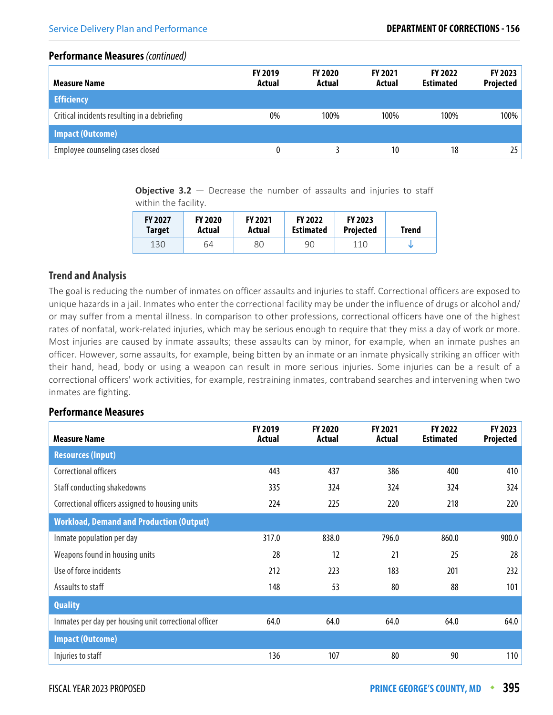| <b>Measure Name</b>                          | <b>FY 2019</b><br>Actual | <b>FY 2020</b><br>Actual | <b>FY 2021</b><br>Actual | <b>FY 2022</b><br><b>Estimated</b> | FY 2023<br>Projected |
|----------------------------------------------|--------------------------|--------------------------|--------------------------|------------------------------------|----------------------|
| <b>Efficiency</b>                            |                          |                          |                          |                                    |                      |
| Critical incidents resulting in a debriefing | 0%                       | 100%                     | 100%                     | 100%                               | 100%                 |
| <b>Impact (Outcome)</b>                      |                          |                          |                          |                                    |                      |
| Employee counseling cases closed             | 0                        |                          | 10                       | 18                                 | 25                   |

**Objective 3.2** – Decrease the number of assaults and injuries to staff within the facility.

| <b>FY 2027</b> | <b>FY 2020</b> | <b>FY 2021</b> | <b>FY 2022</b>   | <b>FY 2023</b>   | Trend |
|----------------|----------------|----------------|------------------|------------------|-------|
| <b>Target</b>  | Actual         | Actual         | <b>Estimated</b> | <b>Projected</b> |       |
| 130            | 64             | 80             | 90               | 110              |       |

### **Trend and Analysis**

The goal is reducing the number of inmates on officer assaults and injuries to staff. Correctional officers are exposed to unique hazards in a jail. Inmates who enter the correctional facility may be under the influence of drugs or alcohol and/ or may suffer from a mental illness. In comparison to other professions, correctional officers have one of the highest rates of nonfatal, work-related injuries, which may be serious enough to require that they miss a day of work or more. Most injuries are caused by inmate assaults; these assaults can by minor, for example, when an inmate pushes an officer. However, some assaults, for example, being bitten by an inmate or an inmate physically striking an officer with their hand, head, body or using a weapon can result in more serious injuries. Some injuries can be a result of a correctional officers' work activities, for example, restraining inmates, contraband searches and intervening when two inmates are fighting.

| <b>Measure Name</b>                                   | FY 2019<br><b>Actual</b> | <b>FY 2020</b><br>Actual | FY 2021<br><b>Actual</b> | FY 2022<br><b>Estimated</b> | FY 2023<br>Projected |
|-------------------------------------------------------|--------------------------|--------------------------|--------------------------|-----------------------------|----------------------|
| <b>Resources (Input)</b>                              |                          |                          |                          |                             |                      |
| Correctional officers                                 | 443                      | 437                      | 386                      | 400                         | 410                  |
| Staff conducting shakedowns                           | 335                      | 324                      | 324                      | 324                         | 324                  |
| Correctional officers assigned to housing units       | 224                      | 225                      | 220                      | 218                         | 220                  |
| <b>Workload, Demand and Production (Output)</b>       |                          |                          |                          |                             |                      |
| Inmate population per day                             | 317.0                    | 838.0                    | 796.0                    | 860.0                       | 900.0                |
| Weapons found in housing units                        | 28                       | 12                       | 21                       | 25                          | 28                   |
| Use of force incidents                                | 212                      | 223                      | 183                      | 201                         | 232                  |
| Assaults to staff                                     | 148                      | 53                       | 80                       | 88                          | 101                  |
| <b>Quality</b>                                        |                          |                          |                          |                             |                      |
| Inmates per day per housing unit correctional officer | 64.0                     | 64.0                     | 64.0                     | 64.0                        | 64.0                 |
| <b>Impact (Outcome)</b>                               |                          |                          |                          |                             |                      |
| Injuries to staff                                     | 136                      | 107                      | 80                       | 90                          | 110                  |